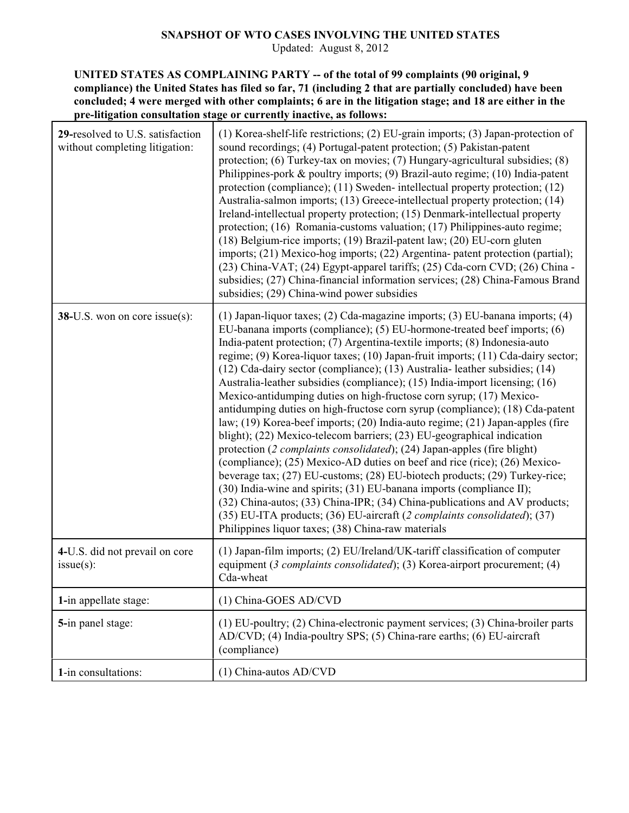## **SNAPSHOT OF WTO CASES INVOLVING THE UNITED STATES**

Updated: August 8, 2012

**UNITED STATES AS COMPLAINING PARTY -- of the total of 99 complaints (90 original, 9 compliance) the United States has filed so far, 71 (including 2 that are partially concluded) have been concluded; 4 were merged with other complaints; 6 are in the litigation stage; and 18 are either in the pre-litigation consultation stage or currently inactive, as follows:**

| 29-resolved to U.S. satisfaction<br>without completing litigation: | (1) Korea-shelf-life restrictions; (2) EU-grain imports; (3) Japan-protection of<br>sound recordings; (4) Portugal-patent protection; (5) Pakistan-patent<br>protection; (6) Turkey-tax on movies; (7) Hungary-agricultural subsidies; (8)<br>Philippines-pork & poultry imports; (9) Brazil-auto regime; (10) India-patent<br>protection (compliance); (11) Sweden- intellectual property protection; (12)<br>Australia-salmon imports; (13) Greece-intellectual property protection; (14)<br>Ireland-intellectual property protection; (15) Denmark-intellectual property<br>protection; (16) Romania-customs valuation; (17) Philippines-auto regime;<br>(18) Belgium-rice imports; (19) Brazil-patent law; (20) EU-corn gluten<br>imports; (21) Mexico-hog imports; (22) Argentina- patent protection (partial);<br>(23) China-VAT; (24) Egypt-apparel tariffs; (25) Cda-corn CVD; (26) China -<br>subsidies; (27) China-financial information services; (28) China-Famous Brand<br>subsidies; (29) China-wind power subsidies                                                                                                                                                                                                                                                                                                      |
|--------------------------------------------------------------------|-----------------------------------------------------------------------------------------------------------------------------------------------------------------------------------------------------------------------------------------------------------------------------------------------------------------------------------------------------------------------------------------------------------------------------------------------------------------------------------------------------------------------------------------------------------------------------------------------------------------------------------------------------------------------------------------------------------------------------------------------------------------------------------------------------------------------------------------------------------------------------------------------------------------------------------------------------------------------------------------------------------------------------------------------------------------------------------------------------------------------------------------------------------------------------------------------------------------------------------------------------------------------------------------------------------------------------------------|
| 38-U.S. won on core issue(s):                                      | (1) Japan-liquor taxes; (2) Cda-magazine imports; (3) EU-banana imports; (4)<br>EU-banana imports (compliance); (5) EU-hormone-treated beef imports; (6)<br>India-patent protection; (7) Argentina-textile imports; (8) Indonesia-auto<br>regime; (9) Korea-liquor taxes; (10) Japan-fruit imports; (11) Cda-dairy sector;<br>(12) Cda-dairy sector (compliance); (13) Australia-leather subsidies; (14)<br>Australia-leather subsidies (compliance); (15) India-import licensing; (16)<br>Mexico-antidumping duties on high-fructose corn syrup; (17) Mexico-<br>antidumping duties on high-fructose corn syrup (compliance); (18) Cda-patent<br>law; (19) Korea-beef imports; (20) India-auto regime; (21) Japan-apples (fire<br>blight); (22) Mexico-telecom barriers; (23) EU-geographical indication<br>protection (2 complaints consolidated); (24) Japan-apples (fire blight)<br>(compliance); (25) Mexico-AD duties on beef and rice (rice); (26) Mexico-<br>beverage tax; (27) EU-customs; (28) EU-biotech products; (29) Turkey-rice;<br>(30) India-wine and spirits; (31) EU-banana imports (compliance II);<br>(32) China-autos; (33) China-IPR; (34) China-publications and AV products;<br>(35) EU-ITA products; (36) EU-aircraft (2 complaints consolidated); (37)<br>Philippines liquor taxes; (38) China-raw materials |
| 4-U.S. did not prevail on core<br>$issue(s)$ :                     | (1) Japan-film imports; (2) EU/Ireland/UK-tariff classification of computer<br>equipment (3 complaints consolidated); (3) Korea-airport procurement; (4)<br>Cda-wheat                                                                                                                                                                                                                                                                                                                                                                                                                                                                                                                                                                                                                                                                                                                                                                                                                                                                                                                                                                                                                                                                                                                                                                   |
| 1-in appellate stage:                                              | (1) China-GOES AD/CVD                                                                                                                                                                                                                                                                                                                                                                                                                                                                                                                                                                                                                                                                                                                                                                                                                                                                                                                                                                                                                                                                                                                                                                                                                                                                                                                   |
| 5-in panel stage:                                                  | (1) EU-poultry; (2) China-electronic payment services; (3) China-broiler parts<br>AD/CVD; (4) India-poultry SPS; (5) China-rare earths; (6) EU-aircraft<br>(compliance)                                                                                                                                                                                                                                                                                                                                                                                                                                                                                                                                                                                                                                                                                                                                                                                                                                                                                                                                                                                                                                                                                                                                                                 |
| 1-in consultations:                                                | (1) China-autos AD/CVD                                                                                                                                                                                                                                                                                                                                                                                                                                                                                                                                                                                                                                                                                                                                                                                                                                                                                                                                                                                                                                                                                                                                                                                                                                                                                                                  |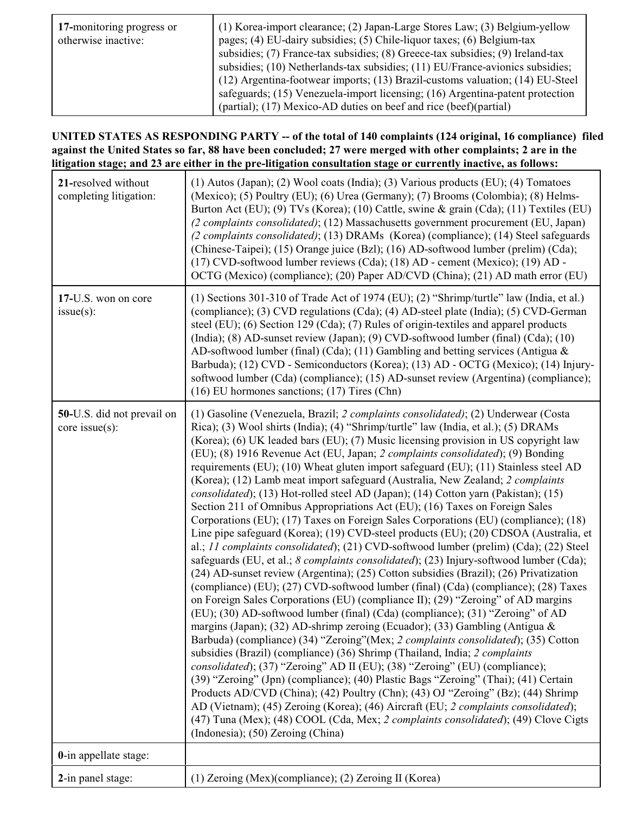| 17-monitoring progress or<br>otherwise inactive: | (1) Korea-import clearance; (2) Japan-Large Stores Law; (3) Belgium-yellow<br>pages; (4) EU-dairy subsidies; (5) Chile-liquor taxes; (6) Belgium-tax |
|--------------------------------------------------|------------------------------------------------------------------------------------------------------------------------------------------------------|
|                                                  | subsidies; (7) France-tax subsidies; (8) Greece-tax subsidies; (9) Ireland-tax                                                                       |
|                                                  | subsidies; (10) Netherlands-tax subsidies; (11) EU/France-avionics subsidies;                                                                        |
|                                                  | (12) Argentina-footwear imports; (13) Brazil-customs valuation; (14) EU-Steel                                                                        |
|                                                  | safeguards; (15) Venezuela-import licensing; (16) Argentina-patent protection                                                                        |
|                                                  | (partial); (17) Mexico-AD duties on beef and rice (beef)(partial)                                                                                    |

## **UNITED STATES AS RESPONDING PARTY -- of the total of 140 complaints (124 original, 16 compliance) filed against the United States so far, 88 have been concluded; 27 were merged with other complaints; 2 are in the litigation stage; and 23 are either in the pre-litigation consultation stage or currently inactive, as follows:**

| 21-resolved without<br>completing litigation:      | $(1)$ Autos (Japan); $(2)$ Wool coats (India); $(3)$ Various products (EU); $(4)$ Tomatoes<br>(Mexico); (5) Poultry (EU); (6) Urea (Germany); (7) Brooms (Colombia); (8) Helms-<br>Burton Act (EU); (9) TVs (Korea); (10) Cattle, swine & grain (Cda); (11) Textiles (EU)<br>(2 complaints consolidated); (12) Massachusetts government procurement (EU, Japan)<br>(2 complaints consolidated); (13) DRAMs (Korea) (compliance); (14) Steel safeguards<br>(Chinese-Taipei); (15) Orange juice (Bzl); (16) AD-softwood lumber (prelim) (Cda);<br>(17) CVD-softwood lumber reviews (Cda); (18) AD - cement (Mexico); (19) AD -<br>OCTG (Mexico) (compliance); (20) Paper AD/CVD (China); (21) AD math error (EU)                                                                                                                                                                                                                                                                                                                                                                                                                                                                                                                                                                                                                                                                                                                                                                                                                                                                                                                                                                                                                                                                                                                                                                                                                                                                                                                                                                                                                                                |
|----------------------------------------------------|---------------------------------------------------------------------------------------------------------------------------------------------------------------------------------------------------------------------------------------------------------------------------------------------------------------------------------------------------------------------------------------------------------------------------------------------------------------------------------------------------------------------------------------------------------------------------------------------------------------------------------------------------------------------------------------------------------------------------------------------------------------------------------------------------------------------------------------------------------------------------------------------------------------------------------------------------------------------------------------------------------------------------------------------------------------------------------------------------------------------------------------------------------------------------------------------------------------------------------------------------------------------------------------------------------------------------------------------------------------------------------------------------------------------------------------------------------------------------------------------------------------------------------------------------------------------------------------------------------------------------------------------------------------------------------------------------------------------------------------------------------------------------------------------------------------------------------------------------------------------------------------------------------------------------------------------------------------------------------------------------------------------------------------------------------------------------------------------------------------------------------------------------------------|
| 17-U.S. won on core<br>issue(s):                   | (1) Sections 301-310 of Trade Act of 1974 (EU); (2) "Shrimp/turtle" law (India, et al.)<br>(compliance); (3) CVD regulations (Cda); (4) AD-steel plate (India); (5) CVD-German<br>steel (EU); (6) Section 129 (Cda); (7) Rules of origin-textiles and apparel products<br>(India); (8) AD-sunset review (Japan); (9) CVD-softwood lumber (final) (Cda); (10)<br>AD-softwood lumber (final) (Cda); (11) Gambling and betting services (Antigua $\&$<br>Barbuda); (12) CVD - Semiconductors (Korea); (13) AD - OCTG (Mexico); (14) Injury-<br>softwood lumber (Cda) (compliance); (15) AD-sunset review (Argentina) (compliance);<br>$(16)$ EU hormones sanctions; $(17)$ Tires $(Chn)$                                                                                                                                                                                                                                                                                                                                                                                                                                                                                                                                                                                                                                                                                                                                                                                                                                                                                                                                                                                                                                                                                                                                                                                                                                                                                                                                                                                                                                                                         |
| 50-U.S. did not prevail on<br>$core$ issue $(s)$ : | (1) Gasoline (Venezuela, Brazil; 2 complaints consolidated); (2) Underwear (Costa<br>Rica); (3) Wool shirts (India); (4) "Shrimp/turtle" law (India, et al.); (5) DRAMs<br>(Korea); (6) UK leaded bars (EU); (7) Music licensing provision in US copyright law<br>(EU); (8) 1916 Revenue Act (EU, Japan; 2 complaints consolidated); (9) Bonding<br>requirements (EU); (10) Wheat gluten import safeguard (EU); (11) Stainless steel AD<br>(Korea); (12) Lamb meat import safeguard (Australia, New Zealand; 2 complaints<br>consolidated); (13) Hot-rolled steel AD (Japan); (14) Cotton yarn (Pakistan); (15)<br>Section 211 of Omnibus Appropriations Act (EU); (16) Taxes on Foreign Sales<br>Corporations (EU); (17) Taxes on Foreign Sales Corporations (EU) (compliance); (18)<br>Line pipe safeguard (Korea); (19) CVD-steel products (EU); (20) CDSOA (Australia, et<br>al.; 11 complaints consolidated); (21) CVD-softwood lumber (prelim) (Cda); (22) Steel<br>safeguards (EU, et al.; $\delta$ complaints consolidated); (23) Injury-softwood lumber (Cda);<br>(24) AD-sunset review (Argentina); (25) Cotton subsidies (Brazil); (26) Privatization<br>(compliance) (EU); (27) CVD-softwood lumber (final) (Cda) (compliance); (28) Taxes<br>on Foreign Sales Corporations (EU) (compliance II); (29) "Zeroing" of AD margins<br>(EU); (30) AD-softwood lumber (final) (Cda) (compliance); (31) "Zeroing" of AD<br>margins (Japan); (32) AD-shrimp zeroing (Ecuador); (33) Gambling (Antigua $\&$<br>Barbuda) (compliance) (34) "Zeroing" (Mex; 2 complaints consolidated); (35) Cotton<br>subsidies (Brazil) (compliance) (36) Shrimp (Thailand, India; 2 complaints<br>consolidated); (37) "Zeroing" AD II (EU); (38) "Zeroing" (EU) (compliance);<br>(39) "Zeroing" (Jpn) (compliance); (40) Plastic Bags "Zeroing" (Thai); (41) Certain<br>Products AD/CVD (China); (42) Poultry (Chn); (43) OJ "Zeroing" (Bz); (44) Shrimp<br>AD (Vietnam); (45) Zeroing (Korea); (46) Aircraft (EU; 2 complaints consolidated);<br>(47) Tuna (Mex); (48) COOL (Cda, Mex; 2 complaints consolidated); (49) Clove Cigts<br>(Indonesia); (50) Zeroing (China) |
| 0-in appellate stage:                              |                                                                                                                                                                                                                                                                                                                                                                                                                                                                                                                                                                                                                                                                                                                                                                                                                                                                                                                                                                                                                                                                                                                                                                                                                                                                                                                                                                                                                                                                                                                                                                                                                                                                                                                                                                                                                                                                                                                                                                                                                                                                                                                                                               |
| 2-in panel stage:                                  | (1) Zeroing (Mex)(compliance); (2) Zeroing II (Korea)                                                                                                                                                                                                                                                                                                                                                                                                                                                                                                                                                                                                                                                                                                                                                                                                                                                                                                                                                                                                                                                                                                                                                                                                                                                                                                                                                                                                                                                                                                                                                                                                                                                                                                                                                                                                                                                                                                                                                                                                                                                                                                         |